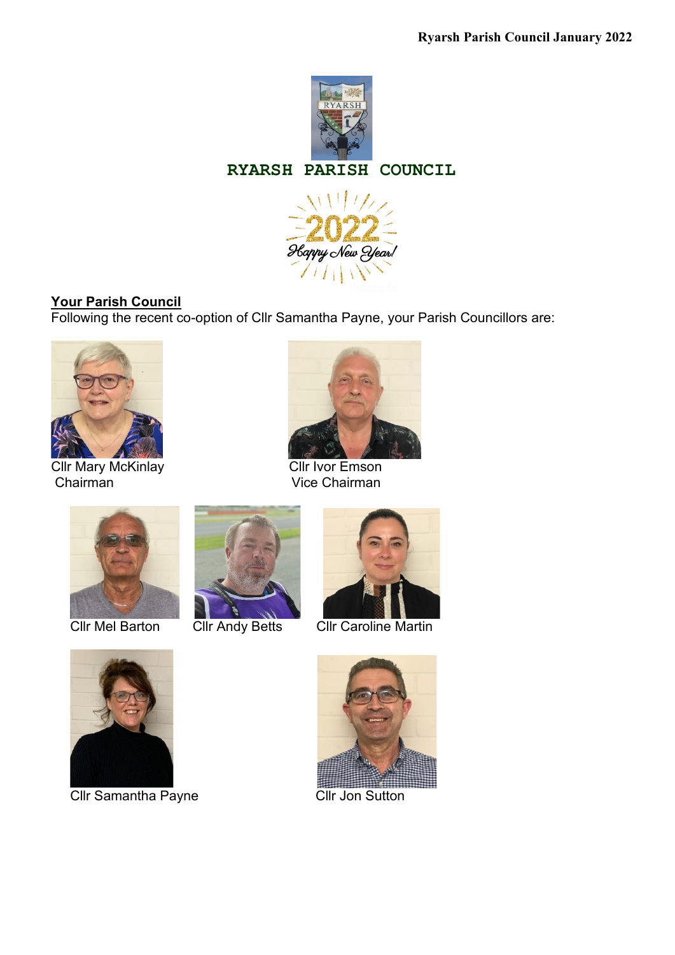

### **RYARSH PARISH COUNCIL**



# **Your Parish Council**

Following the recent co-option of Cllr Samantha Payne, your Parish Councillors are:



#### Cllr Mary McKinlay **Cllridge Cllridge Cllridge Cllridge Cllridge Cllridge Cllridge Cllridge Cllridge Cllridge C** Chairman Vice Chairman









Cllr Mel Barton Cllr Andy Betts Cllr Caroline Martin



Cllr Samantha Payne Cllr Jon Sutton

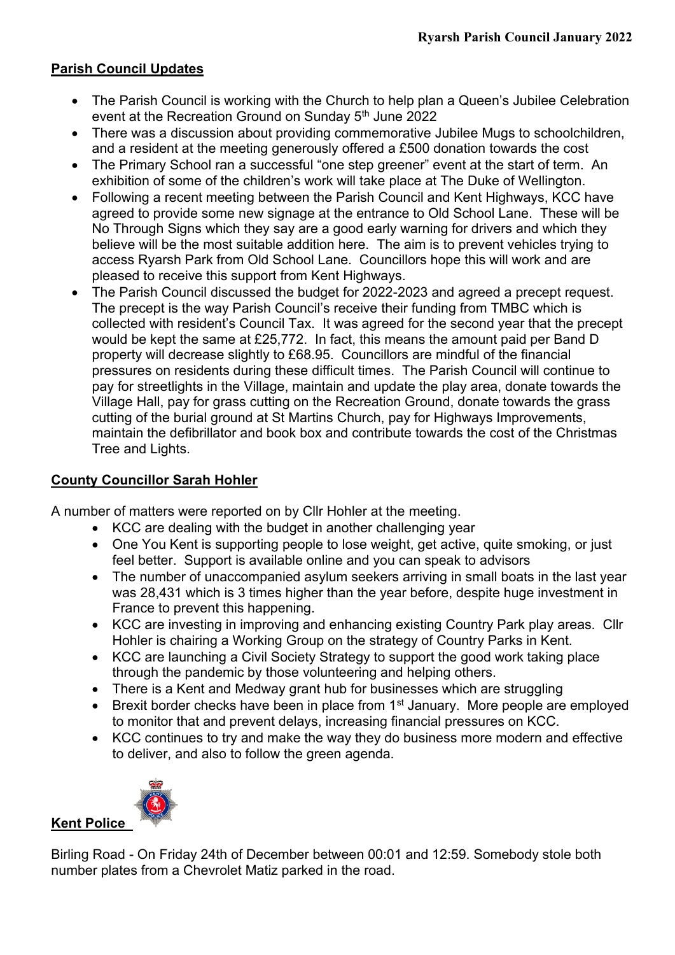## **Parish Council Updates**

- The Parish Council is working with the Church to help plan a Queen's Jubilee Celebration event at the Recreation Ground on Sunday 5<sup>th</sup> June 2022
- There was a discussion about providing commemorative Jubilee Mugs to schoolchildren, and a resident at the meeting generously offered a £500 donation towards the cost
- The Primary School ran a successful "one step greener" event at the start of term. An exhibition of some of the children's work will take place at The Duke of Wellington.
- Following a recent meeting between the Parish Council and Kent Highways, KCC have agreed to provide some new signage at the entrance to Old School Lane. These will be No Through Signs which they say are a good early warning for drivers and which they believe will be the most suitable addition here. The aim is to prevent vehicles trying to access Ryarsh Park from Old School Lane. Councillors hope this will work and are pleased to receive this support from Kent Highways.
- The Parish Council discussed the budget for 2022-2023 and agreed a precept request. The precept is the way Parish Council's receive their funding from TMBC which is collected with resident's Council Tax. It was agreed for the second year that the precept would be kept the same at £25,772. In fact, this means the amount paid per Band D property will decrease slightly to £68.95. Councillors are mindful of the financial pressures on residents during these difficult times. The Parish Council will continue to pay for streetlights in the Village, maintain and update the play area, donate towards the Village Hall, pay for grass cutting on the Recreation Ground, donate towards the grass cutting of the burial ground at St Martins Church, pay for Highways Improvements, maintain the defibrillator and book box and contribute towards the cost of the Christmas Tree and Lights.

### **County Councillor Sarah Hohler**

A number of matters were reported on by Cllr Hohler at the meeting.

- KCC are dealing with the budget in another challenging year
- One You Kent is supporting people to lose weight, get active, quite smoking, or just feel better. Support is available online and you can speak to advisors
- The number of unaccompanied asylum seekers arriving in small boats in the last year was 28,431 which is 3 times higher than the year before, despite huge investment in France to prevent this happening.
- KCC are investing in improving and enhancing existing Country Park play areas. Cllr Hohler is chairing a Working Group on the strategy of Country Parks in Kent.
- KCC are launching a Civil Society Strategy to support the good work taking place through the pandemic by those volunteering and helping others.
- There is a Kent and Medway grant hub for businesses which are struggling
- Brexit border checks have been in place from 1<sup>st</sup> January. More people are employed to monitor that and prevent delays, increasing financial pressures on KCC.
- KCC continues to try and make the way they do business more modern and effective to deliver, and also to follow the green agenda.



### **Kent Police**

Birling Road - On Friday 24th of December between 00:01 and 12:59. Somebody stole both number plates from a Chevrolet Matiz parked in the road.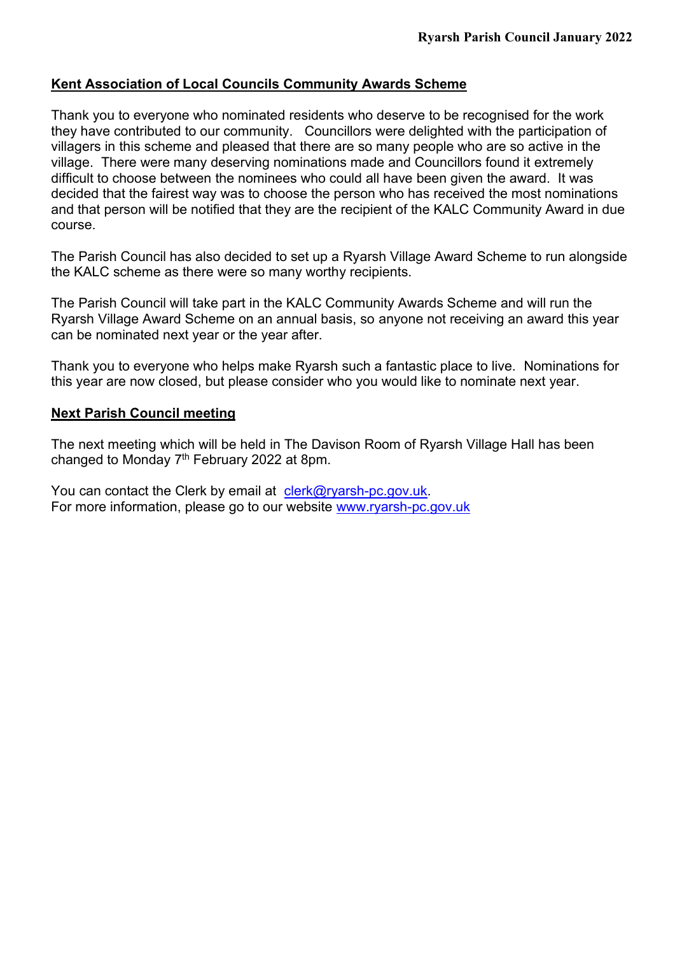## **Kent Association of Local Councils Community Awards Scheme**

Thank you to everyone who nominated residents who deserve to be recognised for the work they have contributed to our community. Councillors were delighted with the participation of villagers in this scheme and pleased that there are so many people who are so active in the village. There were many deserving nominations made and Councillors found it extremely difficult to choose between the nominees who could all have been given the award. It was decided that the fairest way was to choose the person who has received the most nominations and that person will be notified that they are the recipient of the KALC Community Award in due course.

The Parish Council has also decided to set up a Ryarsh Village Award Scheme to run alongside the KALC scheme as there were so many worthy recipients.

The Parish Council will take part in the KALC Community Awards Scheme and will run the Ryarsh Village Award Scheme on an annual basis, so anyone not receiving an award this year can be nominated next year or the year after.

Thank you to everyone who helps make Ryarsh such a fantastic place to live. Nominations for this year are now closed, but please consider who you would like to nominate next year.

#### **Next Parish Council meeting**

The next meeting which will be held in The Davison Room of Ryarsh Village Hall has been changed to Monday 7<sup>th</sup> February 2022 at 8pm.

You can contact the Clerk by email at [clerk@ryarsh-pc.gov.uk.](mailto:clerk@ryarsh-pc.gov.uk) For more information, please go to our website [www.ryarsh-pc.gov.uk](http://www.ryarsh-pc.gov.uk/)